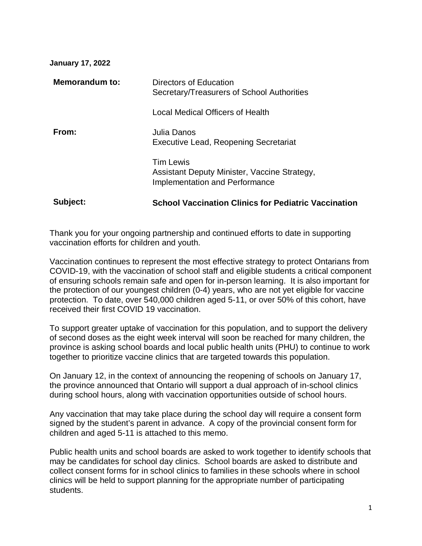## **January 17, 2022**

| Subject:       | <b>School Vaccination Clinics for Pediatric Vaccination</b>                                               |
|----------------|-----------------------------------------------------------------------------------------------------------|
|                | <b>Tim Lewis</b><br>Assistant Deputy Minister, Vaccine Strategy,<br><b>Implementation and Performance</b> |
| From:          | Julia Danos<br>Executive Lead, Reopening Secretariat                                                      |
|                | Local Medical Officers of Health                                                                          |
| Memorandum to: | Directors of Education<br>Secretary/Treasurers of School Authorities                                      |

Thank you for your ongoing partnership and continued efforts to date in supporting vaccination efforts for children and youth.

Vaccination continues to represent the most effective strategy to protect Ontarians from COVID-19, with the vaccination of school staff and eligible students a critical component of ensuring schools remain safe and open for in-person learning. It is also important for the protection of our youngest children (0-4) years, who are not yet eligible for vaccine protection. To date, over 540,000 children aged 5-11, or over 50% of this cohort, have received their first COVID 19 vaccination.

To support greater uptake of vaccination for this population, and to support the delivery of second doses as the eight week interval will soon be reached for many children, the province is asking school boards and local public health units (PHU) to continue to work together to prioritize vaccine clinics that are targeted towards this population.

On January 12, in the context of announcing the reopening of schools on January 17, the province announced that Ontario will support a dual approach of in-school clinics during school hours, along with vaccination opportunities outside of school hours.

Any vaccination that may take place during the school day will require a consent form signed by the student's parent in advance. A copy of the provincial consent form for children and aged 5-11 is attached to this memo.

Public health units and school boards are asked to work together to identify schools that may be candidates for school day clinics. School boards are asked to distribute and collect consent forms for in school clinics to families in these schools where in school clinics will be held to support planning for the appropriate number of participating students.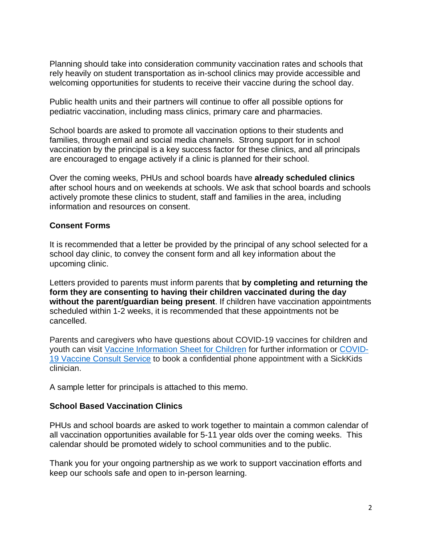Planning should take into consideration community vaccination rates and schools that rely heavily on student transportation as in-school clinics may provide accessible and welcoming opportunities for students to receive their vaccine during the school day.

Public health units and their partners will continue to offer all possible options for pediatric vaccination, including mass clinics, primary care and pharmacies.

School boards are asked to promote all vaccination options to their students and families, through email and social media channels. Strong support for in school vaccination by the principal is a key success factor for these clinics, and all principals are encouraged to engage actively if a clinic is planned for their school.

Over the coming weeks, PHUs and school boards have **already scheduled clinics** after school hours and on weekends at schools. We ask that school boards and schools actively promote these clinics to student, staff and families in the area, including information and resources on consent.

## **Consent Forms**

It is recommended that a letter be provided by the principal of any school selected for a school day clinic, to convey the consent form and all key information about the upcoming clinic.

Letters provided to parents must inform parents that **by completing and returning the form they are consenting to having their children vaccinated during the day without the parent/guardian being present**. If children have vaccination appointments scheduled within 1-2 weeks, it is recommended that these appointments not be cancelled.

Parents and caregivers who have questions about COVID-19 vaccines for children and youth can visit [Vaccine Information Sheet for Children](https://www.health.gov.on.ca/en/pro/programs/publichealth/coronavirus/docs/vaccine/COVID-19_vaccine_info_sheet_kids_5_11.pdf) for further information or [COVID-](https://www.sickkids.ca/en/care-services/support-services/covid-19-vaccine-consult/)[19 Vaccine Consult Service](https://www.sickkids.ca/en/care-services/support-services/covid-19-vaccine-consult/) to book a confidential phone appointment with a SickKids clinician.

A sample letter for principals is attached to this memo.

## **School Based Vaccination Clinics**

PHUs and school boards are asked to work together to maintain a common calendar of all vaccination opportunities available for 5-11 year olds over the coming weeks. This calendar should be promoted widely to school communities and to the public.

Thank you for your ongoing partnership as we work to support vaccination efforts and keep our schools safe and open to in-person learning.